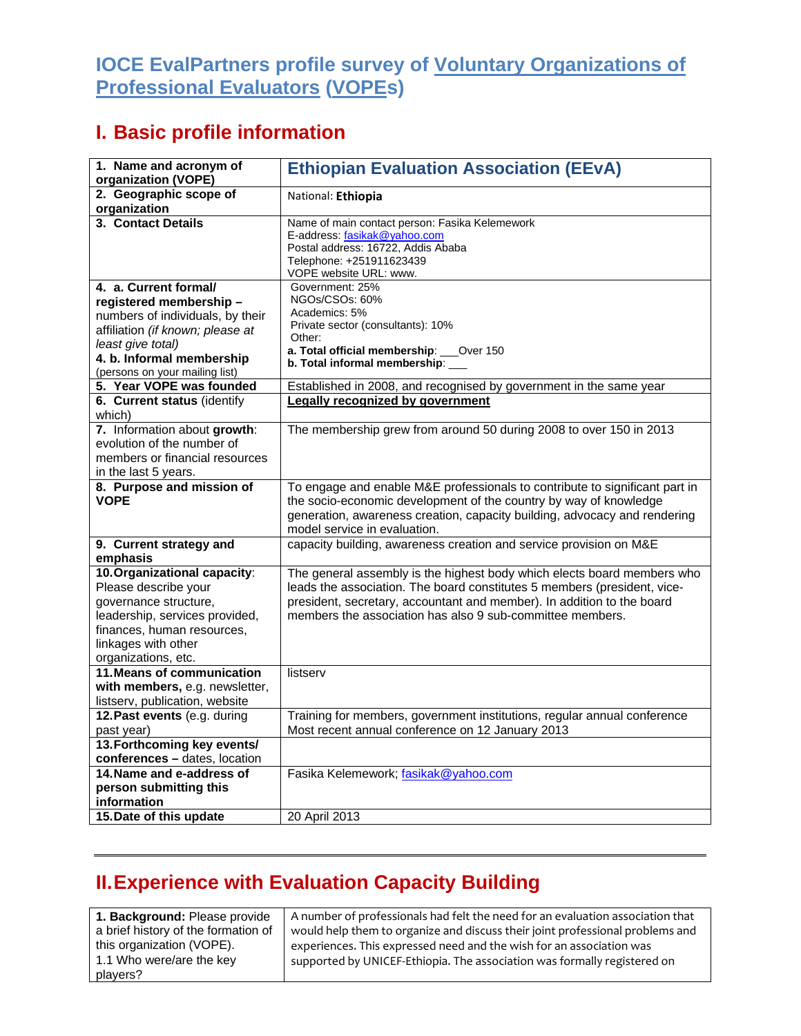## **IOCE EvalPartners profile survey of Voluntary Organizations of Professional Evaluators (VOPEs)**

## **I. Basic profile information**

| 1. Name and acronym of<br>organization (VOPE)                                                                                                                                                                | <b>Ethiopian Evaluation Association (EEvA)</b>                                                                                                                                                                                                                                             |
|--------------------------------------------------------------------------------------------------------------------------------------------------------------------------------------------------------------|--------------------------------------------------------------------------------------------------------------------------------------------------------------------------------------------------------------------------------------------------------------------------------------------|
| 2. Geographic scope of<br>organization                                                                                                                                                                       | National: Ethiopia                                                                                                                                                                                                                                                                         |
| 3. Contact Details                                                                                                                                                                                           | Name of main contact person: Fasika Kelemework<br>E-address: fasikak@yahoo.com<br>Postal address: 16722, Addis Ababa<br>Telephone: +251911623439<br>VOPE website URL: www.                                                                                                                 |
| 4. a. Current formal/<br>registered membership -<br>numbers of individuals, by their<br>affiliation (if known; please at<br>least give total)<br>4. b. Informal membership<br>(persons on your mailing list) | Government: 25%<br>NGOs/CSOs: 60%<br>Academics: 5%<br>Private sector (consultants): 10%<br>Other:<br>a. Total official membership: ___Over 150<br>b. Total informal membership: __                                                                                                         |
| 5. Year VOPE was founded                                                                                                                                                                                     | Established in 2008, and recognised by government in the same year                                                                                                                                                                                                                         |
| 6. Current status (identify<br>which)                                                                                                                                                                        | <b>Legally recognized by government</b>                                                                                                                                                                                                                                                    |
| 7. Information about growth:<br>evolution of the number of<br>members or financial resources<br>in the last 5 years.                                                                                         | The membership grew from around 50 during 2008 to over 150 in 2013                                                                                                                                                                                                                         |
| 8. Purpose and mission of<br><b>VOPE</b>                                                                                                                                                                     | To engage and enable M&E professionals to contribute to significant part in<br>the socio-economic development of the country by way of knowledge<br>generation, awareness creation, capacity building, advocacy and rendering<br>model service in evaluation.                              |
| 9. Current strategy and<br>emphasis                                                                                                                                                                          | capacity building, awareness creation and service provision on M&E                                                                                                                                                                                                                         |
| 10. Organizational capacity:<br>Please describe your<br>governance structure,<br>leadership, services provided,<br>finances, human resources,<br>linkages with other<br>organizations, etc.                  | The general assembly is the highest body which elects board members who<br>leads the association. The board constitutes 5 members (president, vice-<br>president, secretary, accountant and member). In addition to the board<br>members the association has also 9 sub-committee members. |
| 11. Means of communication<br>with members, e.g. newsletter,<br>listserv, publication, website                                                                                                               | listserv                                                                                                                                                                                                                                                                                   |
| 12. Past events (e.g. during<br>past year)                                                                                                                                                                   | Training for members, government institutions, regular annual conference<br>Most recent annual conference on 12 January 2013                                                                                                                                                               |
| 13. Forthcoming key events/<br>conferences - dates, location                                                                                                                                                 |                                                                                                                                                                                                                                                                                            |
| 14. Name and e-address of<br>person submitting this<br>information                                                                                                                                           | Fasika Kelemework; fasikak@yahoo.com                                                                                                                                                                                                                                                       |
| 15. Date of this update                                                                                                                                                                                      | 20 April 2013                                                                                                                                                                                                                                                                              |

## **II. Experience with Evaluation Capacity Building**

**1. Background:** Please provide a brief history of the formation of this organization (VOPE). 1.1 Who were/are the key players?

A number of professionals had felt the need for an evaluation association that would help them to organize and discuss their joint professional problems and experiences. This expressed need and the wish for an association was supported by UNICEF‐Ethiopia. The association was formally registered on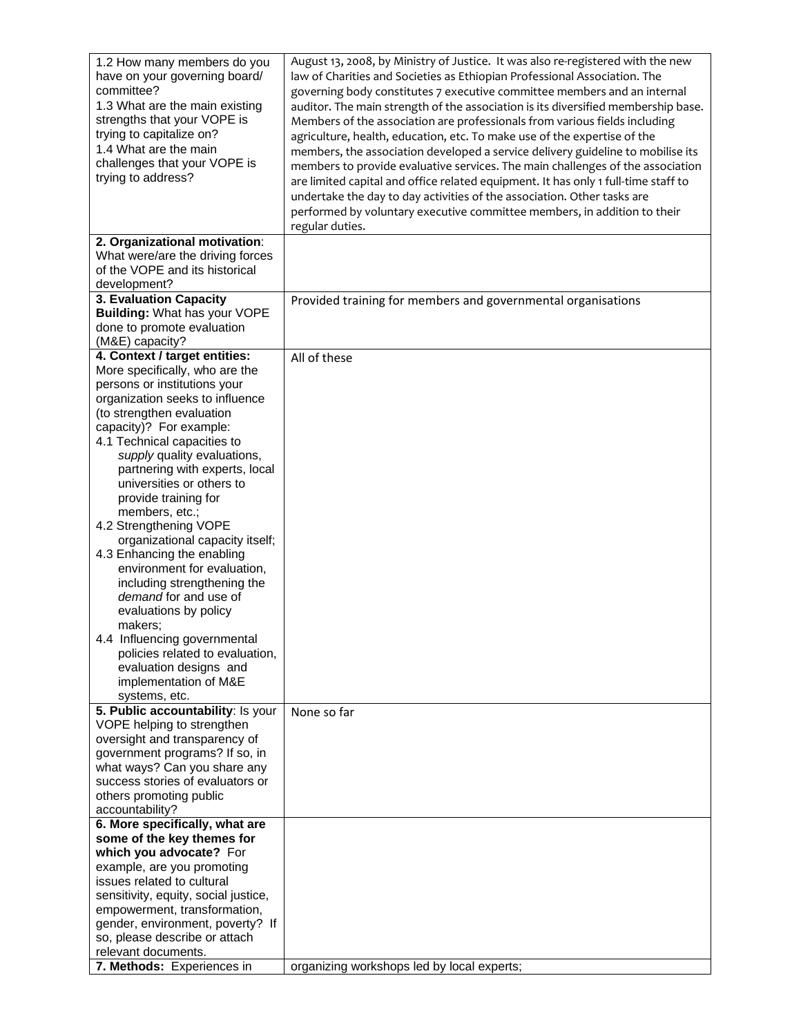| 1.2 How many members do you<br>have on your governing board/<br>committee?<br>1.3 What are the main existing<br>strengths that your VOPE is<br>trying to capitalize on?<br>1.4 What are the main<br>challenges that your VOPE is<br>trying to address?                                                                                                                                                                                                                                                                                                                                                                                                                                                                         | August 13, 2008, by Ministry of Justice. It was also re-registered with the new<br>law of Charities and Societies as Ethiopian Professional Association. The<br>governing body constitutes 7 executive committee members and an internal<br>auditor. The main strength of the association is its diversified membership base.<br>Members of the association are professionals from various fields including<br>agriculture, health, education, etc. To make use of the expertise of the<br>members, the association developed a service delivery guideline to mobilise its<br>members to provide evaluative services. The main challenges of the association<br>are limited capital and office related equipment. It has only 1 full-time staff to<br>undertake the day to day activities of the association. Other tasks are<br>performed by voluntary executive committee members, in addition to their<br>regular duties. |
|--------------------------------------------------------------------------------------------------------------------------------------------------------------------------------------------------------------------------------------------------------------------------------------------------------------------------------------------------------------------------------------------------------------------------------------------------------------------------------------------------------------------------------------------------------------------------------------------------------------------------------------------------------------------------------------------------------------------------------|------------------------------------------------------------------------------------------------------------------------------------------------------------------------------------------------------------------------------------------------------------------------------------------------------------------------------------------------------------------------------------------------------------------------------------------------------------------------------------------------------------------------------------------------------------------------------------------------------------------------------------------------------------------------------------------------------------------------------------------------------------------------------------------------------------------------------------------------------------------------------------------------------------------------------|
| 2. Organizational motivation:<br>What were/are the driving forces<br>of the VOPE and its historical<br>development?                                                                                                                                                                                                                                                                                                                                                                                                                                                                                                                                                                                                            |                                                                                                                                                                                                                                                                                                                                                                                                                                                                                                                                                                                                                                                                                                                                                                                                                                                                                                                              |
| 3. Evaluation Capacity<br>Building: What has your VOPE<br>done to promote evaluation<br>(M&E) capacity?                                                                                                                                                                                                                                                                                                                                                                                                                                                                                                                                                                                                                        | Provided training for members and governmental organisations                                                                                                                                                                                                                                                                                                                                                                                                                                                                                                                                                                                                                                                                                                                                                                                                                                                                 |
| 4. Context / target entities:<br>More specifically, who are the<br>persons or institutions your<br>organization seeks to influence<br>(to strengthen evaluation<br>capacity)? For example:<br>4.1 Technical capacities to<br>supply quality evaluations,<br>partnering with experts, local<br>universities or others to<br>provide training for<br>members, etc.;<br>4.2 Strengthening VOPE<br>organizational capacity itself;<br>4.3 Enhancing the enabling<br>environment for evaluation,<br>including strengthening the<br>demand for and use of<br>evaluations by policy<br>makers:<br>4.4 Influencing governmental<br>policies related to evaluation,<br>evaluation designs and<br>implementation of M&E<br>systems, etc. | All of these                                                                                                                                                                                                                                                                                                                                                                                                                                                                                                                                                                                                                                                                                                                                                                                                                                                                                                                 |
| 5. Public accountability: Is your<br>VOPE helping to strengthen<br>oversight and transparency of<br>government programs? If so, in<br>what ways? Can you share any<br>success stories of evaluators or<br>others promoting public<br>accountability?                                                                                                                                                                                                                                                                                                                                                                                                                                                                           | None so far                                                                                                                                                                                                                                                                                                                                                                                                                                                                                                                                                                                                                                                                                                                                                                                                                                                                                                                  |
| 6. More specifically, what are<br>some of the key themes for<br>which you advocate? For<br>example, are you promoting<br>issues related to cultural<br>sensitivity, equity, social justice,<br>empowerment, transformation,<br>gender, environment, poverty? If<br>so, please describe or attach<br>relevant documents.<br>7. Methods: Experiences in                                                                                                                                                                                                                                                                                                                                                                          | organizing workshops led by local experts;                                                                                                                                                                                                                                                                                                                                                                                                                                                                                                                                                                                                                                                                                                                                                                                                                                                                                   |